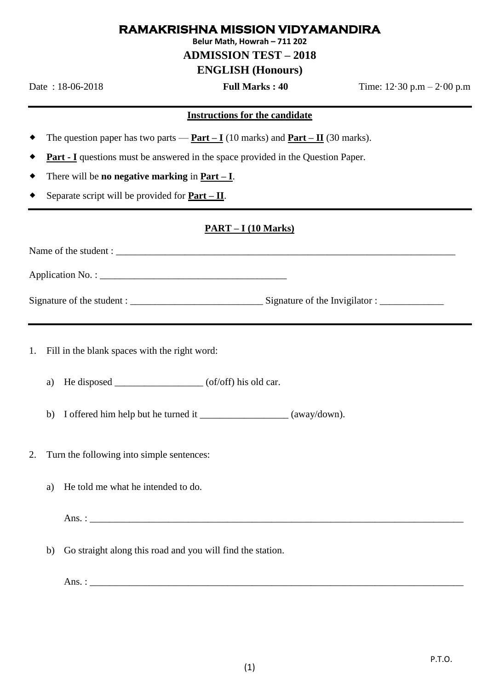### **RAMAKRISHNA MISSION VIDYAMANDIRA**

**Belur Math, Howrah – 711 202**

# **ADMISSION TEST – 2018**

# **ENGLISH (Honours)**

Date : 18-06-2018 **Full Marks : 40** Time: 12·30 p.m – 2·00 p.m

#### **Instructions for the candidate**

- The question paper has two parts **Part**  $I(10 \text{ marks})$  and **Part**  $II(30 \text{ marks})$ .
- **Part - I** questions must be answered in the space provided in the Question Paper.
- There will be **no negative marking** in **Part – I**.
- Separate script will be provided for **Part – II**.

#### **PART – I (10 Marks)**

| Signature of the Invigilator : _______________ |
|------------------------------------------------|

- 1. Fill in the blank spaces with the right word:
	- a) He disposed  $\qquad \qquad$  (of/off) his old car.
	- b) I offered him help but he turned it \_\_\_\_\_\_\_\_\_\_\_\_\_\_\_\_\_\_ (away/down).
- 2. Turn the following into simple sentences:
	- a) He told me what he intended to do.

Ans. : \_\_\_\_\_\_\_\_\_\_\_\_\_\_\_\_\_\_\_\_\_\_\_\_\_\_\_\_\_\_\_\_\_\_\_\_\_\_\_\_\_\_\_\_\_\_\_\_\_\_\_\_\_\_\_\_\_\_\_\_\_\_\_\_\_\_\_\_\_\_\_\_\_\_\_\_

b) Go straight along this road and you will find the station.

Ans. : \_\_\_\_\_\_\_\_\_\_\_\_\_\_\_\_\_\_\_\_\_\_\_\_\_\_\_\_\_\_\_\_\_\_\_\_\_\_\_\_\_\_\_\_\_\_\_\_\_\_\_\_\_\_\_\_\_\_\_\_\_\_\_\_\_\_\_\_\_\_\_\_\_\_\_\_